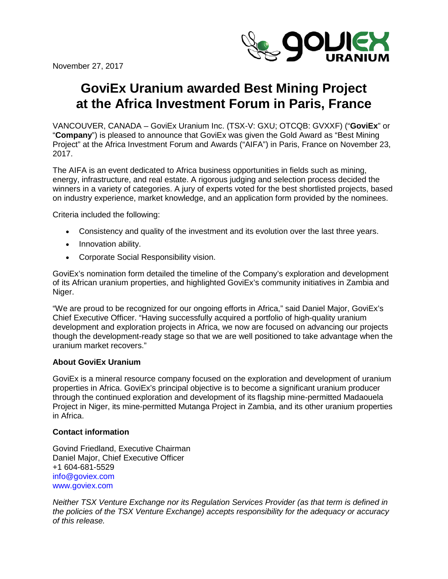November 27, 2017



## **GoviEx Uranium awarded Best Mining Project at the Africa Investment Forum in Paris, France**

VANCOUVER, CANADA – GoviEx Uranium Inc. (TSX-V: GXU; OTCQB: GVXXF) ("**GoviEx**" or "**Company**") is pleased to announce that GoviEx was given the Gold Award as "Best Mining Project" at the Africa Investment Forum and Awards ("AIFA") in Paris, France on November 23, 2017.

The AIFA is an event dedicated to Africa business opportunities in fields such as mining, energy, infrastructure, and real estate. A rigorous judging and selection process decided the winners in a variety of categories. A jury of experts voted for the best shortlisted projects, based on industry experience, market knowledge, and an application form provided by the nominees.

Criteria included the following:

- Consistency and quality of the investment and its evolution over the last three years.
- Innovation ability.
- Corporate Social Responsibility vision.

GoviEx's nomination form detailed the timeline of the Company's exploration and development of its African uranium properties, and highlighted GoviEx's community initiatives in Zambia and Niger.

"We are proud to be recognized for our ongoing efforts in Africa," said Daniel Major, GoviEx's Chief Executive Officer. "Having successfully acquired a portfolio of high-quality uranium development and exploration projects in Africa, we now are focused on advancing our projects though the development-ready stage so that we are well positioned to take advantage when the uranium market recovers."

## **About GoviEx Uranium**

GoviEx is a mineral resource company focused on the exploration and development of uranium properties in Africa. GoviEx's principal objective is to become a significant uranium producer through the continued exploration and development of its flagship mine-permitted Madaouela Project in Niger, its mine-permitted Mutanga Project in Zambia, and its other uranium properties in Africa.

## **Contact information**

Govind Friedland, Executive Chairman Daniel Major, Chief Executive Officer +1 604-681-5529 [info@goviex.com](mailto:info@goviex.com) www.goviex.com

*Neither TSX Venture Exchange nor its Regulation Services Provider (as that term is defined in the policies of the TSX Venture Exchange) accepts responsibility for the adequacy or accuracy of this release.*